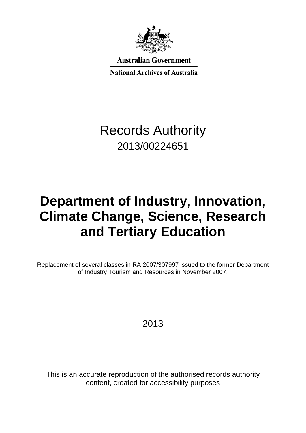

**Australian Government** 

**National Archives of Australia** 

## Records Authority 2013/00224651

# **Department of Industry, Innovation, Climate Change, Science, Research and Tertiary Education**

Replacement of several classes in RA 2007/307997 issued to the former Department of Industry Tourism and Resources in November 2007.

2013

This is an accurate reproduction of the authorised records authority content, created for accessibility purposes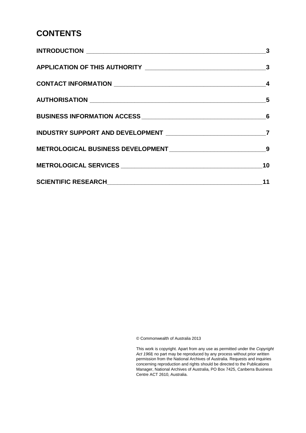### **CONTENTS**

| $\sim$ 3 |
|----------|
|          |
|          |
|          |
|          |
|          |
|          |
| 10       |
| 11       |

© Commonwealth of Australia 2013

This work is copyright. Apart from any use as permitted under the *Copyright Act 1968,* no part may be reproduced by any process without prior written permission from the National Archives of Australia. Requests and inquiries concerning reproduction and rights should be directed to the Publications Manager, National Archives of Australia, PO Box 7425, Canberra Business Centre ACT 2610, Australia.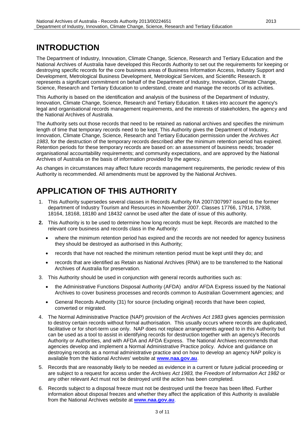### <span id="page-2-0"></span>**INTRODUCTION**

The Department of Industry, Innovation, Climate Change, Science, Research and Tertiary Education and the National Archives of Australia have developed this Records Authority to set out the requirements for keeping or destroying specific records for the core business areas of Business Information Access, Industry Support and Development, Metrological Business Development, Metrological Services, and Scientific Research. It represents a significant commitment on behalf of the Department of Industry, Innovation, Climate Change, Science, Research and Tertiary Education to understand, create and manage the records of its activities.

This Authority is based on the identification and analysis of the business of the Department of Industry, Innovation, Climate Change, Science, Research and Tertiary Education. It takes into account the agency's legal and organisational records management requirements, and the interests of stakeholders, the agency and the National Archives of Australia.

The Authority sets out those records that need to be retained as national archives and specifies the minimum length of time that temporary records need to be kept. This Authority gives the Department of Industry, Innovation, Climate Change, Science, Research and Tertiary Education permission under the *Archives Act 1983*, for the destruction of the temporary records described after the minimum retention period has expired. Retention periods for these temporary records are based on: an assessment of business needs; broader organisational accountability requirements; and community expectations, and are approved by the National Archives of Australia on the basis of information provided by the agency.

As changes in circumstances may affect future records management requirements, the periodic review of this Authority is recommended. All amendments must be approved by the National Archives.

### <span id="page-2-1"></span>**APPLICATION OF THIS AUTHORITY**

- 1. This Authority supersedes several classes in Records Authority RA 2007/307997 issued to the former department of Industry Tourism and Resources in November 2007. Classes 17766, 17914, 17938, 18164, 18168, 18180 and 18432 cannot be used after the date of issue of this authority.
- **2.** This Authority is to be used to determine how long records must be kept. Records are matched to the relevant core business and records class in the Authority:
	- where the minimum retention period has expired and the records are not needed for agency business they should be destroyed as authorised in this Authority;
	- records that have not reached the minimum retention period must be kept until they do; and
	- records that are identified as Retain as National Archives (RNA) are to be transferred to the National Archives of Australia for preservation.
- 3. This Authority should be used in conjunction with general records authorities such as:
	- the Administrative Functions Disposal Authority (AFDA) and/or AFDA Express issued by the National Archives to cover business processes and records common to Australian Government agencies; and
	- General Records Authority (31) for source (including original) records that have been copied, converted or migrated.
- 4. The Normal Administrative Practice (NAP) provision of the *Archives Act 1983* gives agencies permission to destroy certain records without formal authorisation. This usually occurs where records are duplicated, facilitative or for short-term use only. NAP does not replace arrangements agreed to in this Authority but can be used as a tool to assist in identifying records for destruction together with an agency's Records Authority or Authorities, and with AFDA and AFDA Express. The National Archives recommends that agencies develop and implement a Normal Administrative Practice policy. Advice and guidance on destroying records as a normal administrative practice and on how to develop an agency NAP policy is available from the National Archives' website at **[www.naa.gov.au](http://www.naa.gov.au/)**.
- 5. Records that are reasonably likely to be needed as evidence in a current or future judicial proceeding or are subject to a request for access under the *Archives Act 1983,* the *Freedom of Information Act 1982* or any other relevant Act must not be destroyed until the action has been completed.
- 6. Records subject to a disposal freeze must not be destroyed until the freeze has been lifted. Further information about disposal freezes and whether they affect the application of this Authority is available from the National Archives website at **[www.naa.gov.au](http://www.naa.gov.au/)**.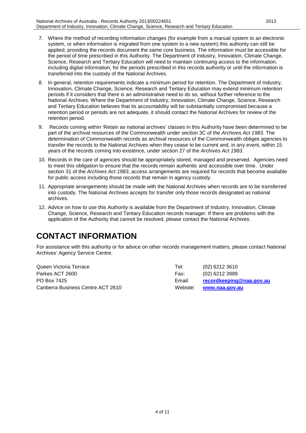- 7. Where the method of recording information changes (for example from a manual system to an electronic system, or when information is migrated from one system to a new system) this authority can still be applied, providing the records document the same core business. The information must be accessible for the period of time prescribed in this Authority. The Department of Industry, Innovation, Climate Change, Science, Research and Tertiary Education will need to maintain continuing access to the information, including digital information, for the periods prescribed in this records authority or until the information is transferred into the custody of the National Archives.
- 8. In general, retention requirements indicate a minimum period for retention. The Department of Industry, Innovation, Climate Change, Science, Research and Tertiary Education may extend minimum retention periods if it considers that there is an administrative need to do so, without further reference to the National Archives. Where the Department of Industry, Innovation, Climate Change, Science, Research and Tertiary Education believes that its accountability will be substantially compromised because a retention period or periods are not adequate, it should contact the National Archives for review of the retention period.
- 9. Records coming within 'Retain as national archives' classes in this Authority have been determined to be part of the archival resources of the Commonwealth under section 3C of the *Archives Act 1983*. The determination of Commonwealth records as archival resources of the Commonwealth obliges agencies to transfer the records to the National Archives when they cease to be current and, in any event, within 15 years of the records coming into existence, under section 27 of the *Archives Act 1983*.
- 10. Records in the care of agencies should be appropriately stored, managed and preserved. Agencies need to meet this obligation to ensure that the records remain authentic and accessible over time. Under section 31 of the *Archives Act 1983*, access arrangements are required for records that become available for public access including those records that remain in agency custody.
- 11. Appropriate arrangements should be made with the National Archives when records are to be transferred into custody. The National Archives accepts for transfer only those records designated as national archives.
- 12. Advice on how to use this Authority is available from the Department of Industry, Innovation, Climate Change, Science, Research and Tertiary Education records manager. If there are problems with the application of the Authority that cannot be resolved, please contact the National Archives.

### <span id="page-3-0"></span>**CONTACT INFORMATION**

For assistance with this authority or for advice on other records management matters, please contact National Archives' Agency Service Centre.

Queen Victoria Terrace Tel: (02) 6212 3610 Parkes ACT 2600 **Fax:** (02) 6212 3989 PO Box 7425 Email: **[recordkeeping@naa.gov.au](mailto:recordkeeping@naa.gov.au)** Canberra Business Centre ACT 2610 Website: **[www.naa.gov.au](http://www.naa.gov.au/)**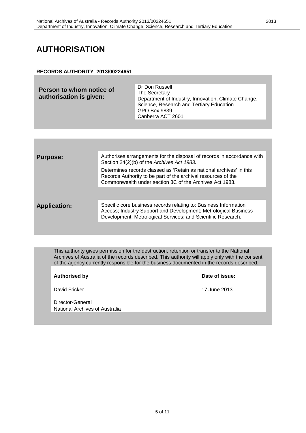### <span id="page-4-0"></span>**AUTHORISATION**

#### **RECORDS AUTHORITY 2013/00224651**

| Person to whom notice of<br>authorisation is given: | Dr Don Russell<br>The Secretary<br>Department of Industry, Innovation, Climate Change,<br>Science, Research and Tertiary Education<br>GPO Box 9839<br>Canberra ACT 2601 |
|-----------------------------------------------------|-------------------------------------------------------------------------------------------------------------------------------------------------------------------------|
|                                                     |                                                                                                                                                                         |

| <b>Purpose:</b>     | Authorises arrangements for the disposal of records in accordance with<br>Section 24(2)(b) of the Archives Act 1983.                                                                                |
|---------------------|-----------------------------------------------------------------------------------------------------------------------------------------------------------------------------------------------------|
|                     | Determines records classed as 'Retain as national archives' in this<br>Records Authority to be part of the archival resources of the<br>Commonwealth under section 3C of the Archives Act 1983.     |
|                     |                                                                                                                                                                                                     |
| <b>Application:</b> | Specific core business records relating to: Business Information<br>Access; Industry Support and Development; Metrological Business<br>Development; Metrological Services; and Scientific Research. |
|                     |                                                                                                                                                                                                     |

This authority gives permission for the destruction, retention or transfer to the National Archives of Australia of the records described. This authority will apply only with the consent of the agency currently responsible for the business documented in the records described.

David Fricker 17 June 2013

**Authorised by Date of issue:**

Director-General National Archives of Australia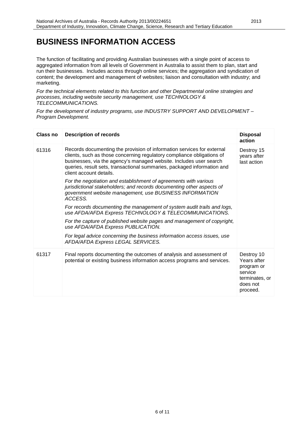### <span id="page-5-0"></span>**BUSINESS INFORMATION ACCESS**

The function of facilitating and providing Australian businesses with a single point of access to aggregated information from all levels of Government in Australia to assist them to plan, start and run their businesses. Includes access through online services; the aggregation and syndication of content; the development and management of websites; liaison and consultation with industry; and marketing.

*For the technical elements related to this function and other Departmental online strategies and processes, including website security management, use TECHNOLOGY & TELECOMMUNICATIONS.*

*For the development of industry programs, use INDUSTRY SUPPORT AND DEVELOPMENT – Program Development.*

| Class no | <b>Description of records</b>                                                                                                                                                                                                                                                                                                | <b>Disposal</b><br>action                                                                    |
|----------|------------------------------------------------------------------------------------------------------------------------------------------------------------------------------------------------------------------------------------------------------------------------------------------------------------------------------|----------------------------------------------------------------------------------------------|
| 61316    | Records documenting the provision of information services for external<br>clients, such as those concerning regulatory compliance obligations of<br>businesses, via the agency's managed website. Includes user search<br>queries, result sets, transactional summaries, packaged information and<br>client account details. | Destroy 15<br>years after<br>last action                                                     |
|          | For the negotiation and establishment of agreements with various<br>jurisdictional stakeholders; and records documenting other aspects of<br>government website management, use BUSINESS INFORMATION<br>ACCESS.                                                                                                              |                                                                                              |
|          | For records documenting the management of system audit trails and logs,<br>use AFDA/AFDA Express TECHNOLOGY & TELECOMMUNICATIONS.                                                                                                                                                                                            |                                                                                              |
|          | For the capture of published website pages and management of copyright,<br>use AFDA/AFDA Express PUBLICATION.                                                                                                                                                                                                                |                                                                                              |
|          | For legal advice concerning the business information access issues, use<br>AFDA/AFDA Express LEGAL SERVICES.                                                                                                                                                                                                                 |                                                                                              |
| 61317    | Final reports documenting the outcomes of analysis and assessment of<br>potential or existing business information access programs and services.                                                                                                                                                                             | Destroy 10<br>Years after<br>program or<br>service<br>terminates, or<br>does not<br>proceed. |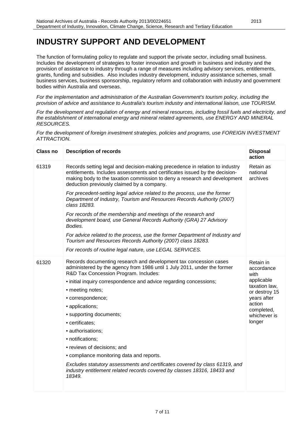### <span id="page-6-0"></span>**INDUSTRY SUPPORT AND DEVELOPMENT**

The function of formulating policy to regulate and support the private sector, including small business. Includes the development of strategies to foster innovation and growth in business and industry and the provision of assistance to industry through a range of measures including advisory services, entitlements, grants, funding and subsidies. Also includes industry development, industry assistance schemes, small business services, business sponsorship, regulatory reform and collaboration with industry and government bodies within Australia and overseas.

*For the implementation and administration of the Australian Government's tourism policy, including the provision of advice and assistance to Australia's tourism industry and international liaison, use TOURISM.*

*For the development and regulation of energy and mineral resources, including fossil fuels and electricity, and the establishment of international energy and mineral related agreements, use ENERGY AND MINERAL RESOURCES.*

*For the development of foreign investment strategies, policies and programs, use FOREIGN INVESTMENT ATTRACTION.*

| Class no | <b>Description of records</b>                                                                                                                                                                                                                                                                         | <b>Disposal</b><br>action                                                                      |
|----------|-------------------------------------------------------------------------------------------------------------------------------------------------------------------------------------------------------------------------------------------------------------------------------------------------------|------------------------------------------------------------------------------------------------|
| 61319    | Records setting legal and decision-making precedence in relation to industry<br>entitlements. Includes assessments and certificates issued by the decision-<br>making body to the taxation commission to deny a research and development<br>deduction previously claimed by a company.                | Retain as<br>national<br>archives                                                              |
|          | For precedent-setting legal advice related to the process, use the former<br>Department of Industry, Tourism and Resources Records Authority (2007)<br>class 18283.                                                                                                                                   |                                                                                                |
|          | For records of the membership and meetings of the research and<br>development board, use General Records Authority (GRA) 27 Advisory<br>Bodies.                                                                                                                                                       |                                                                                                |
|          | For advice related to the process, use the former Department of Industry and<br>Tourism and Resources Records Authority (2007) class 18283.                                                                                                                                                           |                                                                                                |
|          | For records of routine legal nature, use LEGAL SERVICES.                                                                                                                                                                                                                                              |                                                                                                |
| 61320    | Records documenting research and development tax concession cases<br>administered by the agency from 1986 until 1 July 2011, under the former<br>R&D Tax Concession Program. Includes:<br>• initial inquiry correspondence and advice regarding concessions;<br>• meeting notes;<br>• correspondence; | Retain in<br>accordance<br>with<br>applicable<br>taxation law,<br>or destroy 15<br>years after |
|          | • applications;                                                                                                                                                                                                                                                                                       | action<br>completed,                                                                           |
|          | • supporting documents;<br>• certificates;                                                                                                                                                                                                                                                            | whichever is<br>longer                                                                         |
|          | · authorisations;                                                                                                                                                                                                                                                                                     |                                                                                                |
|          | • notifications;                                                                                                                                                                                                                                                                                      |                                                                                                |
|          | • reviews of decisions; and                                                                                                                                                                                                                                                                           |                                                                                                |
|          | • compliance monitoring data and reports.                                                                                                                                                                                                                                                             |                                                                                                |
|          | Excludes statutory assessments and certificates covered by class 61319, and<br>industry entitlement related records covered by classes 18316, 18433 and<br>18349.                                                                                                                                     |                                                                                                |
|          |                                                                                                                                                                                                                                                                                                       |                                                                                                |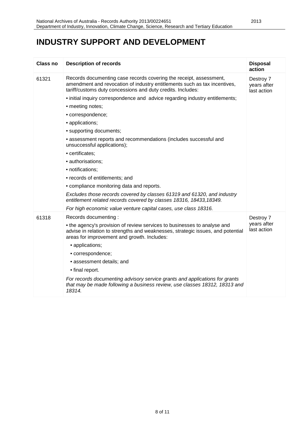### **INDUSTRY SUPPORT AND DEVELOPMENT**

| <b>Class no</b> | <b>Description of records</b>                                                                                                                                                                                  | <b>Disposal</b><br>action               |
|-----------------|----------------------------------------------------------------------------------------------------------------------------------------------------------------------------------------------------------------|-----------------------------------------|
| 61321           | Records documenting case records covering the receipt, assessment,<br>amendment and revocation of industry entitlements such as tax incentives,<br>tariff/customs duty concessions and duty credits. Includes: | Destroy 7<br>years after<br>last action |
|                 | • initial inquiry correspondence and advice regarding industry entitlements;                                                                                                                                   |                                         |
|                 | • meeting notes;                                                                                                                                                                                               |                                         |
|                 | · correspondence;                                                                                                                                                                                              |                                         |
|                 | • applications;                                                                                                                                                                                                |                                         |
|                 | • supporting documents;                                                                                                                                                                                        |                                         |
|                 | • assessment reports and recommendations (includes successful and<br>unsuccessful applications);                                                                                                               |                                         |
|                 | • certificates:                                                                                                                                                                                                |                                         |
|                 | · authorisations;                                                                                                                                                                                              |                                         |
|                 | • notifications;                                                                                                                                                                                               |                                         |
|                 | • records of entitlements; and                                                                                                                                                                                 |                                         |
|                 | • compliance monitoring data and reports.                                                                                                                                                                      |                                         |
|                 | Excludes those records covered by classes 61319 and 61320, and industry<br>entitlement related records covered by classes 18316, 18433, 18349.                                                                 |                                         |
|                 | For high economic value venture capital cases, use class 18316.                                                                                                                                                |                                         |
| 61318           | Records documenting:                                                                                                                                                                                           | Destroy 7                               |
|                 | • the agency's provision of review services to businesses to analyse and<br>advise in relation to strengths and weaknesses, strategic issues, and potential<br>areas for improvement and growth. Includes:     | years after<br>last action              |
|                 | • applications;                                                                                                                                                                                                |                                         |
|                 | • correspondence;                                                                                                                                                                                              |                                         |
|                 | • assessment details; and                                                                                                                                                                                      |                                         |
|                 | • final report.                                                                                                                                                                                                |                                         |
|                 | For records documenting advisory service grants and applications for grants<br>that may be made following a business review, use classes 18312, 18313 and<br>18314.                                            |                                         |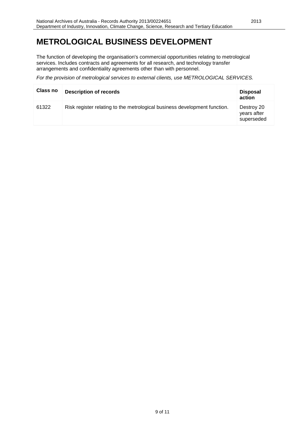### <span id="page-8-0"></span>**METROLOGICAL BUSINESS DEVELOPMENT**

The function of developing the organisation's commercial opportunities relating to metrological services. Includes contracts and agreements for all research, and technology transfer arrangements and confidentiality agreements other than with personnel.

*For the provision of metrological services to external clients, use METROLOGICAL SERVICES.*

| Class no | <b>Description of records</b>                                             | <b>Disposal</b><br>action               |
|----------|---------------------------------------------------------------------------|-----------------------------------------|
| 61322    | Risk register relating to the metrological business development function. | Destroy 20<br>years after<br>superseded |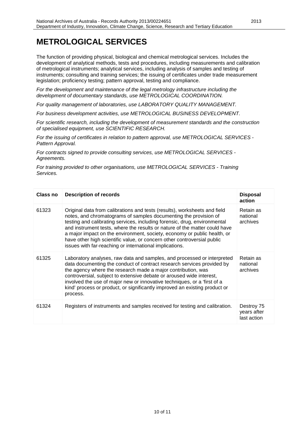### <span id="page-9-0"></span>**METROLOGICAL SERVICES**

The function of providing physical, biological and chemical metrological services. Includes the development of analytical methods, tests and procedures, including measurements and calibration of metrological instruments; analytical services, including analysis of samples and testing of instruments; consulting and training services; the issuing of certificates under trade measurement legislation; proficiency testing; pattern approval, testing and compliance.

*For the development and maintenance of the legal metrology infrastructure including the development of documentary standards, use METROLOGICAL COORDINATION.*

*For quality management of laboratories, use LABORATORY QUALITY MANAGEMENT.*

*For business development activities, use METROLOGICAL BUSINESS DEVELOPMENT.*

*For scientific research, including the development of measurement standards and the construction of specialised equipment, use SCIENTIFIC RESEARCH.*

*For the issuing of certificates in relation to pattern approval, use METROLOGICAL SERVICES - Pattern Approval.*

*For contracts signed to provide consulting services, use METROLOGICAL SERVICES - Agreements.*

*For training provided to other organisations, use METROLOGICAL SERVICES - Training Services.*

| Class no | <b>Description of records</b>                                                                                                                                                                                                                                                                                                                                                                                                                                                                                              | <b>Disposal</b><br>action                |
|----------|----------------------------------------------------------------------------------------------------------------------------------------------------------------------------------------------------------------------------------------------------------------------------------------------------------------------------------------------------------------------------------------------------------------------------------------------------------------------------------------------------------------------------|------------------------------------------|
| 61323    | Original data from calibrations and tests (results), worksheets and field<br>notes, and chromatograms of samples documenting the provision of<br>testing and calibrating services, including forensic, drug, environmental<br>and instrument tests, where the results or nature of the matter could have<br>a major impact on the environment, society, economy or public health, or<br>have other high scientific value, or concern other controversial public<br>issues with far-reaching or international implications. | Retain as<br>national<br>archives        |
| 61325    | Laboratory analyses, raw data and samples, and processed or interpreted<br>data documenting the conduct of contract research services provided by<br>the agency where the research made a major contribution, was<br>controversial, subject to extensive debate or aroused wide interest,<br>involved the use of major new or innovative techniques, or a 'first of a<br>kind' process or product, or significantly improved an existing product or<br>process.                                                            | Retain as<br>national<br>archives        |
| 61324    | Registers of instruments and samples received for testing and calibration.                                                                                                                                                                                                                                                                                                                                                                                                                                                 | Destroy 75<br>years after<br>last action |